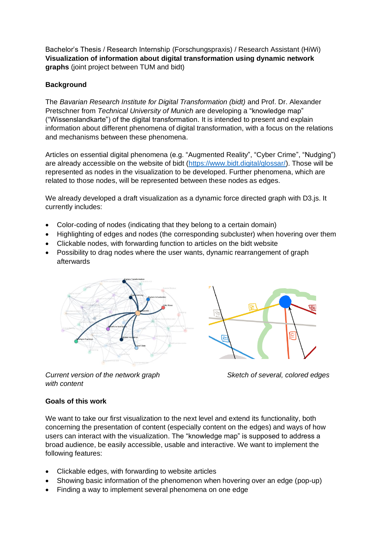Bachelor's Thesis / Research Internship (Forschungspraxis) / Research Assistant (HiWi) **Visualization of information about digital transformation using dynamic network graphs** (joint project between TUM and bidt)

# **Background**

The *Bavarian Research Institute for Digital Transformation (bidt)* and Prof. Dr. Alexander Pretschner from *Technical University of Munich* are developing a "knowledge map" ("Wissenslandkarte") of the digital transformation. It is intended to present and explain information about different phenomena of digital transformation, with a focus on the relations and mechanisms between these phenomena.

Articles on essential digital phenomena (e.g. "Augmented Reality", "Cyber Crime", "Nudging") are already accessible on the website of bidt [\(https://www.bidt.digital/glossar/\)](https://www.bidt.digital/glossar/). Those will be represented as nodes in the visualization to be developed. Further phenomena, which are related to those nodes, will be represented between these nodes as edges.

We already developed a draft visualization as a dynamic force directed graph with D3.js. It currently includes:

- Color-coding of nodes (indicating that they belong to a certain domain)
- Highlighting of edges and nodes (the corresponding subcluster) when hovering over them
- Clickable nodes, with forwarding function to articles on the bidt website
- Possibility to drag nodes where the user wants, dynamic rearrangement of graph afterwards



*Current version of the network graph Sketch of several, colored edges with content*



## **Goals of this work**

We want to take our first visualization to the next level and extend its functionality, both concerning the presentation of content (especially content on the edges) and ways of how users can interact with the visualization. The "knowledge map" is supposed to address a broad audience, be easily accessible, usable and interactive. We want to implement the following features:

- Clickable edges, with forwarding to website articles
- Showing basic information of the phenomenon when hovering over an edge (pop-up)
- Finding a way to implement several phenomena on one edge